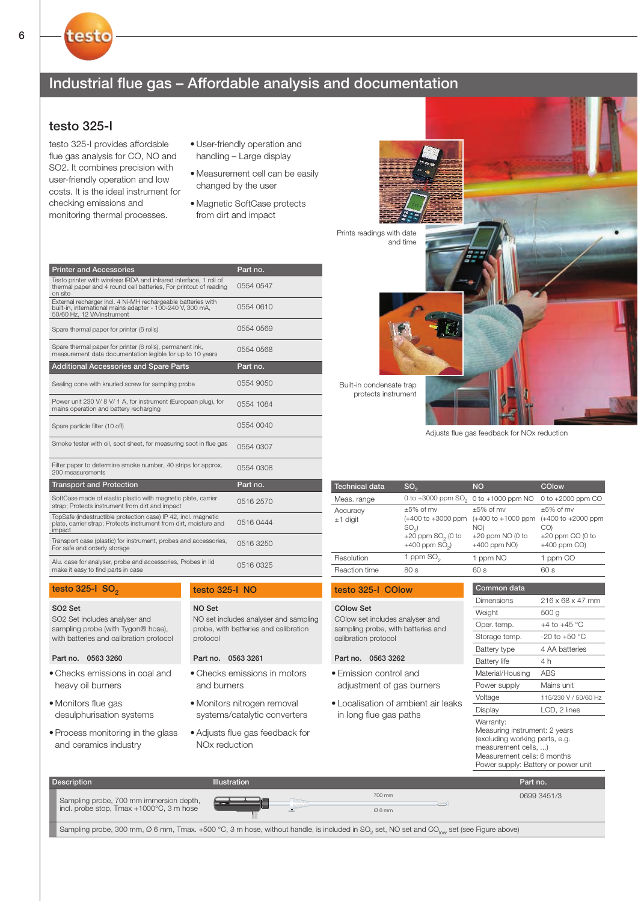# Industrial flue gas – Affordable analysis and documentation

## testo 325-I

testo

testo 325-I provides affordable flue gas analysis for CO, NO and SO2. It combines precision with user-friendly operation and low costs. It is the ideal instrument for checking emissions and monitoring thermal processes.

- User-friendly operation and handling – Large display
- Measurement cell can be easily changed by the user
- Magnetic SoftCase protects from dirt and impact

| <b>Printer and Accessories</b>                                                                                                                           | Part no.  |  |
|----------------------------------------------------------------------------------------------------------------------------------------------------------|-----------|--|
| Testo printer with wireless IRDA and infrared interface, 1 roll of<br>thermal paper and 4 round cell batteries, For printout of reading<br>on site       | 0554 0547 |  |
| External recharger incl. 4 Ni-MH rechargeable batteries with<br>built-in, international mains adapter - 100-240 V, 300 mA,<br>50/60 Hz, 12 VA/instrument | 0554 0610 |  |
| Spare thermal paper for printer (6 rolls)                                                                                                                | 0554 0569 |  |
| Spare thermal paper for printer (6 rolls), permanent ink,<br>measurement data documentation legible for up to 10 years                                   | 0554 0568 |  |
| <b>Additional Accessories and Spare Parts</b>                                                                                                            | Part no.  |  |
| Sealing cone with knurled screw for sampling probe                                                                                                       | 0554 9050 |  |
| Power unit 230 V/ 8 V/ 1 A, for instrument (European plug), for<br>mains operation and battery recharging                                                | 0554 1084 |  |
| Spare particle filter (10 off)                                                                                                                           | 0554 0040 |  |
| Smoke tester with oil, soot sheet, for measuring soot in flue gas                                                                                        | 0554 0307 |  |
| Filter paper to determine smoke number, 40 strips for approx.<br>200 measurements                                                                        | 0554 0308 |  |
| <b>Transport and Protection</b>                                                                                                                          | Part no.  |  |
| SoftCase made of elastic plastic with magnetic plate, carrier<br>strap; Protects instrument from dirt and impact                                         | 0516 2570 |  |
| TopSafe (indestructible protection case) IP 42, incl. magnetic<br>plate, carrier strap; Protects instrument from dirt, moisture and<br>impact            | 05160444  |  |
| Transport case (plastic) for instrument, probes and accessories,<br>For safe and orderly storage                                                         | 0516 3250 |  |
| Alu. case for analyser, probe and accessories, Probes in lid<br>make it easy to find parts in case                                                       | 0516 0325 |  |

### testo  $325-1$  SO<sub>2</sub>

SO2 Set includes analyser and sampling probe (with Tygon® hose), with batteries and calibration protocol SO2 Set

#### Part no. 0563 3260

- Checks emissions in coal and heavy oil burners
- Monitors flue gas desulphurisation systems
- Process monitoring in the glass and ceramics industry

#### testo 325-I NO

NO set includes analyser and sampling probe, with batteries and calibration protocol NO Set

#### Part no. 0563 3261

and burners • Monitors nitrogen removal systems/catalytic converters

• Checks emissions in motors

• Adjusts flue gas feedback for NOx reduction



Adjusts flue gas feedback for NOx reduction

| <b>Technical data</b><br>$SO_{2}$                                                                                                                                                                   |             | <b>NO</b>                                                                                                                                                                  | COlow                                                                                                    |  |  |  |
|-----------------------------------------------------------------------------------------------------------------------------------------------------------------------------------------------------|-------------|----------------------------------------------------------------------------------------------------------------------------------------------------------------------------|----------------------------------------------------------------------------------------------------------|--|--|--|
| 0 to +3000 ppm $SO_2$<br>Meas. range<br>$\pm 5\%$ of mv<br>Accuracy<br>$(+400 \text{ to } +3000 \text{ ppm})$<br>$±1$ digit<br>$SO_{2}$<br>$\pm 20$ ppm SO <sub>2</sub> (0 to<br>$+400$ ppm $SO2$ ) |             | 0 to +1000 ppm NO                                                                                                                                                          | 0 to +2000 ppm CO                                                                                        |  |  |  |
|                                                                                                                                                                                                     |             | $+5\%$ of mv<br>$(+400 \text{ to } +1000 \text{ ppm})$<br>NO)<br>$\pm 20$ ppm NO (0 to<br>$+400$ ppm $NO$ )                                                                | $+5\%$ of mv<br>$(+400$ to $+2000$ ppm<br>CO()<br>$\pm 20$ ppm CO (0 to<br>$+400$ ppm $CO$ )<br>1 ppm CO |  |  |  |
| Resolution                                                                                                                                                                                          | 1 ppm $SO2$ |                                                                                                                                                                            |                                                                                                          |  |  |  |
| Reaction time                                                                                                                                                                                       | 80s         | 60s                                                                                                                                                                        | 60s                                                                                                      |  |  |  |
| testo 325-I COlow                                                                                                                                                                                   |             | Common data                                                                                                                                                                |                                                                                                          |  |  |  |
| <b>COlow Set</b><br>COlow set includes analyser and<br>sampling probe, with batteries and<br>calibration protocol<br>Part no.<br>0563 3262                                                          |             | Dimensions                                                                                                                                                                 | 216 x 68 x 47 mm                                                                                         |  |  |  |
|                                                                                                                                                                                                     |             | Weight                                                                                                                                                                     | 500 <sub>q</sub>                                                                                         |  |  |  |
|                                                                                                                                                                                                     |             | Oper. temp.                                                                                                                                                                | $+4$ to $+45$ °C                                                                                         |  |  |  |
|                                                                                                                                                                                                     |             | Storage temp.                                                                                                                                                              | $-20$ to $+50$ °C                                                                                        |  |  |  |
|                                                                                                                                                                                                     |             | Battery type                                                                                                                                                               | 4 AA batteries                                                                                           |  |  |  |
|                                                                                                                                                                                                     |             | <b>Battery life</b>                                                                                                                                                        | 4 h                                                                                                      |  |  |  |
| • Emission control and<br>adjustment of gas burners                                                                                                                                                 |             | Material/Housing                                                                                                                                                           | <b>ABS</b>                                                                                               |  |  |  |
|                                                                                                                                                                                                     |             | Power supply                                                                                                                                                               | Mains unit                                                                                               |  |  |  |
| • Localisation of ambient air leaks<br>in long flue gas paths                                                                                                                                       |             | Voltage                                                                                                                                                                    | 115/230 V / 50/60 Hz                                                                                     |  |  |  |
|                                                                                                                                                                                                     |             | Display                                                                                                                                                                    | LCD, 2 lines                                                                                             |  |  |  |
|                                                                                                                                                                                                     |             | Warranty:<br>Measuring instrument: 2 years<br>(excluding working parts, e.g.<br>measurement cells, )<br>Measurement cells: 6 months<br>Power supply: Battery or power unit |                                                                                                          |  |  |  |
|                                                                                                                                                                                                     |             | Part no                                                                                                                                                                    |                                                                                                          |  |  |  |

| <b>Description</b>                                                                  | Illustration |                | Part no.    |
|-------------------------------------------------------------------------------------|--------------|----------------|-------------|
| Sampling probe, 700 mm immersion depth,<br>incl. probe stop, Tmax +1000°C, 3 m hose | <b>State</b> | 700 mm<br>Ø8mm | 0699 3451/3 |
|                                                                                     |              |                |             |

Sampling probe, 300 mm, Ø 6 mm, Tmax. +500 °C, 3 m hose, without handle, is included in SO<sub>2</sub> set, NO set and CO<sub>low</sub> set (see Figure above)